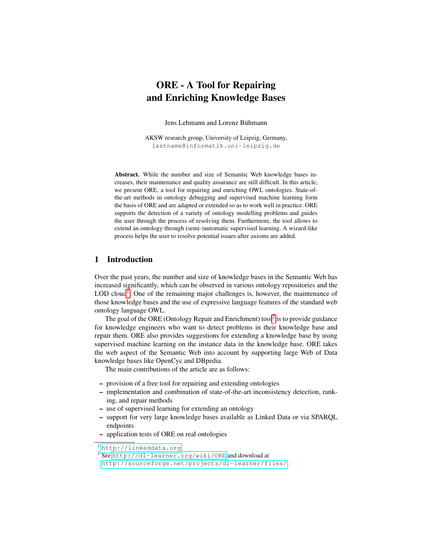# ORE - A Tool for Repairing and Enriching Knowledge Bases

Jens Lehmann and Lorenz Bühmann

AKSW research group, University of Leipzig, Germany, lastname@informatik.uni-leipzig.de

Abstract. While the number and size of Semantic Web knowledge bases increases, their maintenance and quality assurance are still difficult. In this article, we present ORE, a tool for repairing and enriching OWL ontologies. State-ofthe-art methods in ontology debugging and supervised machine learning form the basis of ORE and are adapted or extended so as to work well in practice. ORE supports the detection of a variety of ontology modelling problems and guides the user through the process of resolving them. Furthermore, the tool allows to extend an ontology through (semi-)automatic supervised learning. A wizard-like process helps the user to resolve potential issues after axioms are added.

# 1 Introduction

Over the past years, the number and size of knowledge bases in the Semantic Web has increased significantly, which can be observed in various ontology repositories and the LOD cloud<sup>[1](#page-0-0)</sup>. One of the remaining major challenges is, however, the maintenance of those knowledge bases and the use of expressive language features of the standard web ontology language OWL.

The goal of the ORE (Ontology Repair and Enrichment) tool<sup>[2](#page-0-1)</sup> is to provide guidance for knowledge engineers who want to detect problems in their knowledge base and repair them. ORE also provides suggestions for extending a knowledge base by using supervised machine learning on the instance data in the knowledge base. ORE takes the web aspect of the Semantic Web into account by supporting large Web of Data knowledge bases like OpenCyc and DBpedia.

The main contributions of the article are as follows:

- provision of a free tool for repairing and extending ontologies
- implementation and combination of state-of-the-art inconsistency detection, ranking, and repair methods
- use of supervised learning for extending an ontology
- support for very large knowledge bases available as Linked Data or via SPARQL endpoints
- application tests of ORE on real ontologies

<span id="page-0-0"></span><sup>1</sup> <http://linkeddata.org>

<span id="page-0-1"></span> $^{2}$  See <http://dl-learner.org/wiki/ORE> and download at

<http://sourceforge.net/projects/dl-learner/files/>.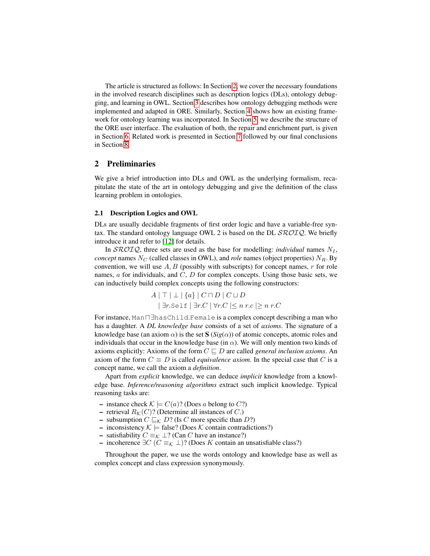The article is structured as follows: In Section [2,](#page-1-0) we cover the necessary foundations in the involved research disciplines such as description logics (DLs), ontology debugging, and learning in OWL. Section [3](#page-3-0) describes how ontology debugging methods were implemented and adapted in ORE. Similarly, Section [4](#page-5-0) shows how an existing framework for ontology learning was incorporated. In Section [5,](#page-6-0) we describe the structure of the ORE user interface. The evaluation of both, the repair and enrichment part, is given in Section [6.](#page-9-0) Related work is presented in Section [7](#page-12-0) followed by our final conclusions in Section [8.](#page-14-0)

### <span id="page-1-0"></span>2 Preliminaries

We give a brief introduction into DLs and OWL as the underlying formalism, recapitulate the state of the art in ontology debugging and give the definition of the class learning problem in ontologies.

#### 2.1 Description Logics and OWL

DLs are usually decidable fragments of first order logic and have a variable-free syntax. The standard ontology language OWL 2 is based on the DL  $\mathcal{SROLQ}$ . We briefly introduce it and refer to [\[12\]](#page-15-0) for details.

In  $\mathcal{SROTQ}$ , three sets are used as the base for modelling: *individual* names  $N_I$ , *concept* names  $N_C$  (called classes in OWL), and *role* names (object properties)  $N_R$ . By convention, we will use  $A, B$  (possibly with subscripts) for concept names, r for role names, a for individuals, and C, D for complex concepts. Using those basic sets, we can inductively build complex concepts using the following constructors:

> $A \mid \top \mid \bot \mid \{a\} \mid C \sqcap D \mid C \sqcup D$  $|\exists r.\mathtt{Self} | \exists r.C | \forall r.C | \leq n r.c | \geq n r.C$

For instance, Man∏∃hasChild.Female is a complex concept describing a man who has a daughter. A *DL knowledge base* consists of a set of *axioms*. The signature of a knowledge base (an axiom  $\alpha$ ) is the set S ( $Sig(\alpha)$ ) of atomic concepts, atomic roles and individuals that occur in the knowledge base (in  $\alpha$ ). We will only mention two kinds of axioms explicitly: Axioms of the form  $C \sqsubseteq D$  are called *general inclusion axioms*. An axiom of the form  $C \equiv D$  is called *equivalence axiom*. In the special case that C is a concept name, we call the axiom a *definition*.

Apart from *explicit* knowledge, we can deduce *implicit* knowledge from a knowledge base. *Inference/reasoning algorithms* extract such implicit knowledge. Typical reasoning tasks are:

- instance check  $\mathcal{K} \models C(a)$ ? (Does a belong to C?)
- retrieval  $R_K(C)$ ? (Determine all instances of C.)
- subsumption  $C \sqsubseteq_K D$ ? (Is C more specific than D?)
- inconsistency  $K \models$  false? (Does K contain contradictions?)
- satisfiability  $C \equiv_K \perp$ ? (Can C have an instance?)
- incoherence  $\exists C$  ( $C \equiv_K \bot$ )? (Does K contain an unsatisfiable class?)

Throughout the paper, we use the words ontology and knowledge base as well as complex concept and class expression synonymously.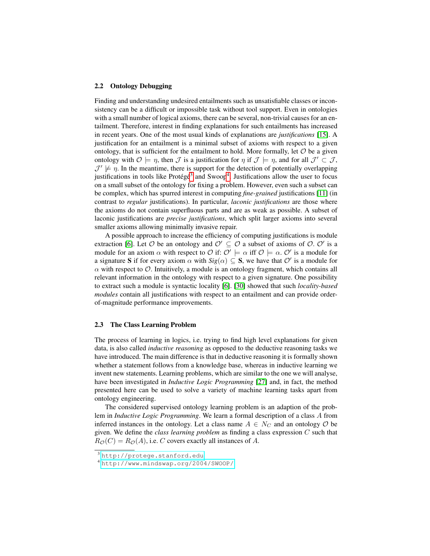### <span id="page-2-2"></span>2.2 Ontology Debugging

Finding and understanding undesired entailments such as unsatisfiable classes or inconsistency can be a difficult or impossible task without tool support. Even in ontologies with a small number of logical axioms, there can be several, non-trivial causes for an entailment. Therefore, interest in finding explanations for such entailments has increased in recent years. One of the most usual kinds of explanations are *justifications* [\[15\]](#page-15-1). A justification for an entailment is a minimal subset of axioms with respect to a given ontology, that is sufficient for the entailment to hold. More formally, let  $O$  be a given ontology with  $\mathcal{O} \models \eta$ , then  $\mathcal J$  is a justification for  $\eta$  if  $\mathcal J \models \eta$ , and for all  $\mathcal J' \subset \mathcal J$ ,  $\mathcal{J}' \not\models \eta$ . In the meantime, there is support for the detection of potentially overlapping justifications in tools like Protégé<sup>[3](#page-2-0)</sup> and Swoop<sup>[4](#page-2-1)</sup>. Justifications allow the user to focus on a small subset of the ontology for fixing a problem. However, even such a subset can be complex, which has spurred interest in computing *fine-grained* justifications [\[11\]](#page-14-1) (in contrast to *regular* justifications). In particular, *laconic justifications* are those where the axioms do not contain superfluous parts and are as weak as possible. A subset of laconic justifications are *precise justifications*, which split larger axioms into several smaller axioms allowing minimally invasive repair.

A possible approach to increase the efficiency of computing justifications is module extraction [\[6\]](#page-14-2). Let  $\mathcal O$  be an ontology and  $\mathcal O' \subseteq \mathcal O$  a subset of axioms of  $\mathcal O$ .  $\mathcal O'$  is a module for an axiom  $\alpha$  with respect to  $\mathcal{O}$  if:  $\mathcal{O}' \models \alpha$  iff  $\mathcal{O} \models \alpha$ .  $\mathcal{O}'$  is a module for a signature S if for every axiom  $\alpha$  with  $Sig(\alpha) \subseteq S$ , we have that  $\mathcal{O}'$  is a module for  $\alpha$  with respect to  $\mathcal{O}$ . Intuitively, a module is an ontology fragment, which contains all relevant information in the ontology with respect to a given signature. One possibility to extract such a module is syntactic locality [\[6\]](#page-14-2). [\[30\]](#page-15-2) showed that such *locality-based modules* contain all justifications with respect to an entailment and can provide orderof-magnitude performance improvements.

### <span id="page-2-3"></span>2.3 The Class Learning Problem

The process of learning in logics, i.e. trying to find high level explanations for given data, is also called *inductive reasoning* as opposed to the deductive reasoning tasks we have introduced. The main difference is that in deductive reasoning it is formally shown whether a statement follows from a knowledge base, whereas in inductive learning we invent new statements. Learning problems, which are similar to the one we will analyse, have been investigated in *Inductive Logic Programming* [\[27\]](#page-15-3) and, in fact, the method presented here can be used to solve a variety of machine learning tasks apart from ontology engineering.

The considered supervised ontology learning problem is an adaption of the problem in *Inductive Logic Programming*. We learn a formal description of a class A from inferred instances in the ontology. Let a class name  $A \in N_C$  and an ontology  $O$  be given. We define the *class learning problem* as finding a class expression C such that  $R_{\mathcal{O}}(C) = R_{\mathcal{O}}(A)$ , i.e. C covers exactly all instances of A.

<span id="page-2-0"></span><sup>3</sup> <http://protege.stanford.edu>

<span id="page-2-1"></span><sup>4</sup> <http://www.mindswap.org/2004/SWOOP/>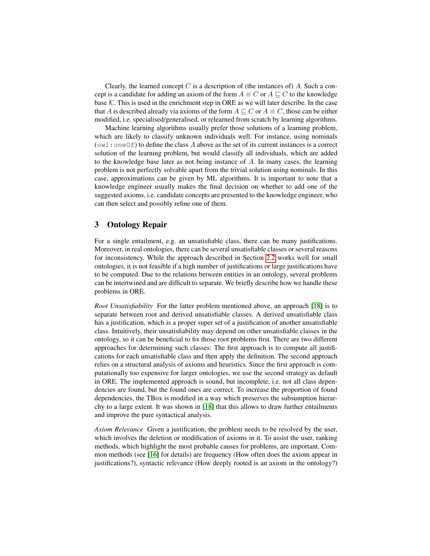Clearly, the learned concept  $C$  is a description of (the instances of)  $A$ . Such a concept is a candidate for adding an axiom of the form  $A \equiv C$  or  $A \sqsubset C$  to the knowledge base  $K$ . This is used in the enrichment step in ORE as we will later describe. In the case that A is described already via axioms of the form  $A \sqsubseteq C$  or  $A \equiv C$ , those can be either modified, i.e. specialised/generalised, or relearned from scratch by learning algorithms.

Machine learning algorithms usually prefer those solutions of a learning problem, which are likely to classify unknown individuals well. For instance, using nominals  $(ow1:oneOf)$  to define the class A above as the set of its current instances is a correct solution of the learning problem, but would classify all individuals, which are added to the knowledge base later as not being instance of A. In many cases, the learning problem is not perfectly solvable apart from the trivial solution using nominals. In this case, approximations can be given by ML algorithms. It is important to note that a knowledge engineer usually makes the final decision on whether to add one of the suggested axioms, i.e. candidate concepts are presented to the knowledge engineer, who can then select and possibly refine one of them.

## <span id="page-3-0"></span>3 Ontology Repair

For a single entailment, e.g. an unsatisfiable class, there can be many justifications. Moreover, in real ontologies, there can be several unsatisfiable classes or several reasons for inconsistency. While the approach described in Section [2.2](#page-2-2) works well for small ontologies, it is not feasible if a high number of justifications or large justifications have to be computed. Due to the relations between entities in an ontology, several problems can be intertwined and are difficult to separate. We briefly describe how we handle these problems in ORE.

*Root Unsatisfiability* For the latter problem mentioned above, an approach [\[18\]](#page-15-4) is to separate between root and derived unsatisfiable classes. A derived unsatisfiable class has a justification, which is a proper super set of a justification of another unsatisfiable class. Intuitively, their unsatisfiability may depend on other unsatisfiable classes in the ontology, so it can be beneficial to fix those root problems first. There are two different approaches for determining such classes: The first approach is to compute all justifications for each unsatisfiable class and then apply the definition. The second approach relies on a structural analysis of axioms and heuristics. Since the first approach is computationally too expensive for larger ontologies, we use the second strategy as default in ORE. The implemented approach is sound, but incomplete, i.e. not all class dependencies are found, but the found ones are correct. To increase the proportion of found dependencies, the TBox is modified in a way which preserves the subsumption hierarchy to a large extent. It was shown in [\[18\]](#page-15-4) that this allows to draw further entailments and improve the pure syntactical analysis.

*Axiom Relevance* Given a justification, the problem needs to be resolved by the user, which involves the deletion or modification of axioms in it. To assist the user, ranking methods, which highlight the most probable causes for problems, are important. Common methods (see [\[16\]](#page-15-5) for details) are frequency (How often does the axiom appear in justifications?), syntactic relevance (How deeply rooted is an axiom in the ontology?)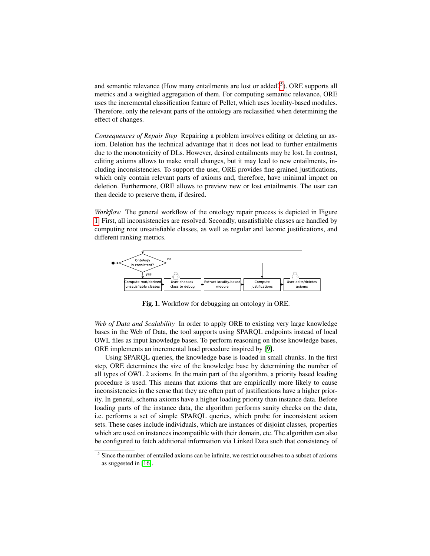and semantic relevance (How many entailments are lost or added?<sup>[5](#page-4-0)</sup>). ORE supports all metrics and a weighted aggregation of them. For computing semantic relevance, ORE uses the incremental classification feature of Pellet, which uses locality-based modules. Therefore, only the relevant parts of the ontology are reclassified when determining the effect of changes.

*Consequences of Repair Step* Repairing a problem involves editing or deleting an axiom. Deletion has the technical advantage that it does not lead to further entailments due to the monotonicity of DLs. However, desired entailments may be lost. In contrast, editing axioms allows to make small changes, but it may lead to new entailments, including inconsistencies. To support the user, ORE provides fine-grained justifications, which only contain relevant parts of axioms and, therefore, have minimal impact on deletion. Furthermore, ORE allows to preview new or lost entailments. The user can then decide to preserve them, if desired.

*Workflow* The general workflow of the ontology repair process is depicted in Figure [1.](#page-4-1) First, all inconsistencies are resolved. Secondly, unsatisfiable classes are handled by computing root unsatisfiable classes, as well as regular and laconic justifications, and different ranking metrics.



<span id="page-4-1"></span>Fig. 1. Workflow for debugging an ontology in ORE.

<span id="page-4-2"></span>*Web of Data and Scalability* In order to apply ORE to existing very large knowledge bases in the Web of Data, the tool supports using SPARQL endpoints instead of local OWL files as input knowledge bases. To perform reasoning on those knowledge bases, ORE implements an incremental load procedure inspired by [\[9\]](#page-14-3).

Using SPARQL queries, the knowledge base is loaded in small chunks. In the first step, ORE determines the size of the knowledge base by determining the number of all types of OWL 2 axioms. In the main part of the algorithm, a priority based loading procedure is used. This means that axioms that are empirically more likely to cause inconsistencies in the sense that they are often part of justifications have a higher priority. In general, schema axioms have a higher loading priority than instance data. Before loading parts of the instance data, the algorithm performs sanity checks on the data, i.e. performs a set of simple SPARQL queries, which probe for inconsistent axiom sets. These cases include individuals, which are instances of disjoint classes, properties which are used on instances incompatible with their domain, etc. The algorithm can also be configured to fetch additional information via Linked Data such that consistency of

<span id="page-4-0"></span><sup>&</sup>lt;sup>5</sup> Since the number of entailed axioms can be infinite, we restrict ourselves to a subset of axioms as suggested in [\[16\]](#page-15-5).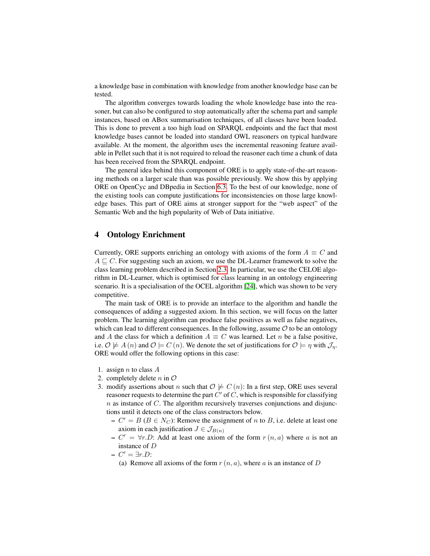a knowledge base in combination with knowledge from another knowledge base can be tested.

The algorithm converges towards loading the whole knowledge base into the reasoner, but can also be configured to stop automatically after the schema part and sample instances, based on ABox summarisation techniques, of all classes have been loaded. This is done to prevent a too high load on SPARQL endpoints and the fact that most knowledge bases cannot be loaded into standard OWL reasoners on typical hardware available. At the moment, the algorithm uses the incremental reasoning feature available in Pellet such that it is not required to reload the reasoner each time a chunk of data has been received from the SPARQL endpoint.

The general idea behind this component of ORE is to apply state-of-the-art reasoning methods on a larger scale than was possible previously. We show this by applying ORE on OpenCyc and DBpedia in Section [6.3.](#page-11-0) To the best of our knowledge, none of the existing tools can compute justifications for inconsistencies on those large knowledge bases. This part of ORE aims at stronger support for the "web aspect" of the Semantic Web and the high popularity of Web of Data initiative.

### <span id="page-5-0"></span>4 Ontology Enrichment

Currently, ORE supports enriching an ontology with axioms of the form  $A \equiv C$  and  $A \sqsubset C$ . For suggesting such an axiom, we use the DL-Learner framework to solve the class learning problem described in Section [2.3.](#page-2-3) In particular, we use the CELOE algorithm in DL-Learner, which is optimised for class learning in an ontology engineering scenario. It is a specialisation of the OCEL algorithm [\[24\]](#page-15-6), which was shown to be very competitive.

The main task of ORE is to provide an interface to the algorithm and handle the consequences of adding a suggested axiom. In this section, we will focus on the latter problem. The learning algorithm can produce false positives as well as false negatives, which can lead to different consequences. In the following, assume  $\mathcal O$  to be an ontology and A the class for which a definition  $A \equiv C$  was learned. Let n be a false positive, i.e.  $\mathcal{O} \not\models A(n)$  and  $\mathcal{O} \models C(n)$ . We denote the set of justifications for  $\mathcal{O} \models \eta$  with  $\mathcal{J}_n$ . ORE would offer the following options in this case:

- 1. assign  $n$  to class  $A$
- 2. completely delete  $n$  in  $\mathcal O$
- 3. modify assertions about n such that  $\mathcal{O} \not\models C(n)$ : In a first step, ORE uses several reasoner requests to determine the part  $C'$  of  $C$ , which is responsible for classifying  $n$  as instance of C. The algorithm recursively traverses conjunctions and disjunctions until it detects one of the class constructors below.
	- $-C' = B (B \in N_C)$ : Remove the assignment of n to B, i.e. delete at least one axiom in each justification  $J \in \mathcal{J}_{B(n)}$
	- $-C' = \forall r.D$ : Add at least one axiom of the form  $r(n, a)$  where a is not an instance of D
	- $-C'=\exists r.D$ :
		- (a) Remove all axioms of the form  $r(n, a)$ , where a is an instance of D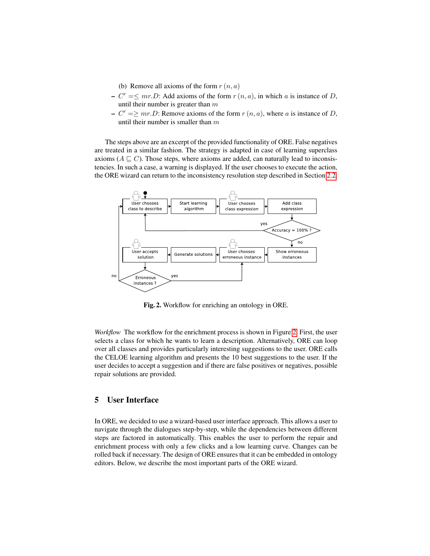- (b) Remove all axioms of the form  $r(n, a)$
- $-C' = \leq mr.D$ : Add axioms of the form  $r(n, a)$ , in which a is instance of D, until their number is greater than  $m$
- $C' = \geq mr.D$ : Remove axioms of the form  $r(n, a)$ , where a is instance of D, until their number is smaller than  $m$

The steps above are an excerpt of the provided functionality of ORE. False negatives are treated in a similar fashion. The strategy is adapted in case of learning superclass axioms ( $A \sqsubseteq C$ ). Those steps, where axioms are added, can naturally lead to inconsistencies. In such a case, a warning is displayed. If the user chooses to execute the action, the ORE wizard can return to the inconsistency resolution step described in Section [2.2.](#page-2-2)



<span id="page-6-1"></span>Fig. 2. Workflow for enriching an ontology in ORE.

*Workflow* The workflow for the enrichment process is shown in Figure [2.](#page-6-1) First, the user selects a class for which he wants to learn a description. Alternatively, ORE can loop over all classes and provides particularly interesting suggestions to the user. ORE calls the CELOE learning algorithm and presents the 10 best suggestions to the user. If the user decides to accept a suggestion and if there are false positives or negatives, possible repair solutions are provided.

## <span id="page-6-0"></span>5 User Interface

In ORE, we decided to use a wizard-based user interface approach. This allows a user to navigate through the dialogues step-by-step, while the dependencies between different steps are factored in automatically. This enables the user to perform the repair and enrichment process with only a few clicks and a low learning curve. Changes can be rolled back if necessary. The design of ORE ensures that it can be embedded in ontology editors. Below, we describe the most important parts of the ORE wizard.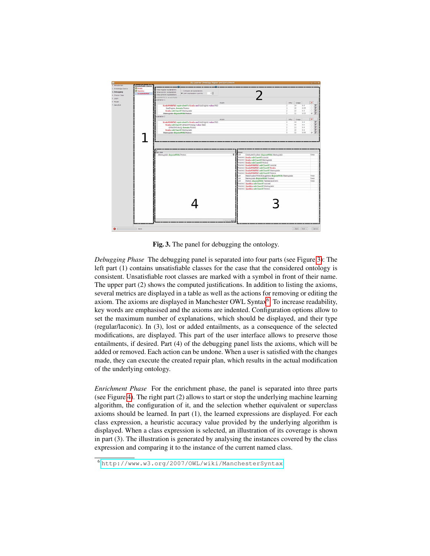

<span id="page-7-0"></span>Fig. 3. The panel for debugging the ontology.

*Debugging Phase* The debugging panel is separated into four parts (see Figure [3\)](#page-7-0): The left part (1) contains unsatisfiable classes for the case that the considered ontology is consistent. Unsatisfiable root classes are marked with a symbol in front of their name. The upper part (2) shows the computed justifications. In addition to listing the axioms, several metrics are displayed in a table as well as the actions for removing or editing the axiom. The axioms are displayed in Manchester OWL Syntax<sup>[6](#page-7-1)</sup>. To increase readability, key words are emphasised and the axioms are indented. Configuration options allow to set the maximum number of explanations, which should be displayed, and their type (regular/laconic). In (3), lost or added entailments, as a consequence of the selected modifications, are displayed. This part of the user interface allows to preserve those entailments, if desired. Part (4) of the debugging panel lists the axioms, which will be added or removed. Each action can be undone. When a user is satisfied with the changes made, they can execute the created repair plan, which results in the actual modification of the underlying ontology.

*Enrichment Phase* For the enrichment phase, the panel is separated into three parts (see Figure [4\)](#page-8-0). The right part (2) allows to start or stop the underlying machine learning algorithm, the configuration of it, and the selection whether equivalent or superclass axioms should be learned. In part (1), the learned expressions are displayed. For each class expression, a heuristic accuracy value provided by the underlying algorithm is displayed. When a class expression is selected, an illustration of its coverage is shown in part (3). The illustration is generated by analysing the instances covered by the class expression and comparing it to the instance of the current named class.

<span id="page-7-1"></span><sup>6</sup> <http://www.w3.org/2007/OWL/wiki/ManchesterSyntax>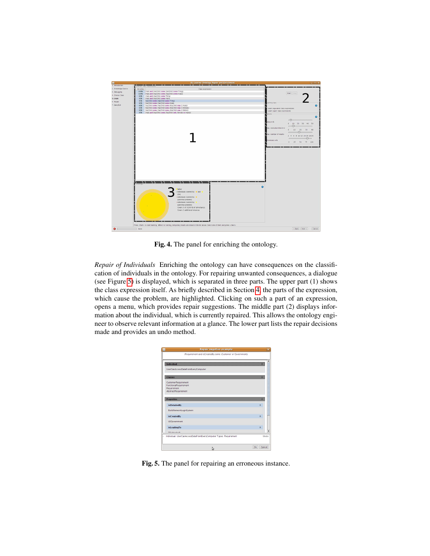

Fig. 4. The panel for enriching the ontology.

<span id="page-8-0"></span>*Repair of Individuals* Enriching the ontology can have consequences on the classification of individuals in the ontology. For repairing unwanted consequences, a dialogue (see Figure [5\)](#page-8-1) is displayed, which is separated in three parts. The upper part (1) shows the class expression itself. As briefly described in Section [4,](#page-5-0) the parts of the expression, which cause the problem, are highlighted. Clicking on such a part of an expression, opens a menu, which provides repair suggestions. The middle part (2) displays information about the individual, which is currently repaired. This allows the ontology engineer to observe relevant information at a glance. The lower part lists the repair decisions made and provides an undo method.

| <b>Repair negative example</b><br>國                               | $\mathbf{x}$   |
|-------------------------------------------------------------------|----------------|
| (Requirement and isCreatedBy some (Customer or Government))       |                |
|                                                                   | ۰              |
| Individual                                                        | 3<br>$\lambda$ |
| UserCanAccessDataFromEveryComputer                                |                |
| Classes                                                           | $\lambda$      |
|                                                                   |                |
| CustomerRequirement<br><b>FunctionalRequirement</b>               |                |
| Requirement                                                       |                |
| AbstractRequirement                                               |                |
|                                                                   |                |
| <b>Properties</b>                                                 | $\lambda$      |
| <b>isDetailedBy</b>                                               | $\hat{z}$      |
| BuildNetworkLoginSystem                                           |                |
| <b>isCreatedBy</b>                                                | $\hat{z}$      |
| <b>IISGovernment</b>                                              |                |
| <b>isLeadingTo</b>                                                | $\hat{z}$      |
| DOlchscohoft                                                      | ٠              |
| Individual: UserCanAccessDataFromEveryComputer Types: Requirement | Undo           |
|                                                                   |                |
| r,                                                                | Ok<br>Cancel   |
|                                                                   |                |

<span id="page-8-1"></span>Fig. 5. The panel for repairing an erroneous instance.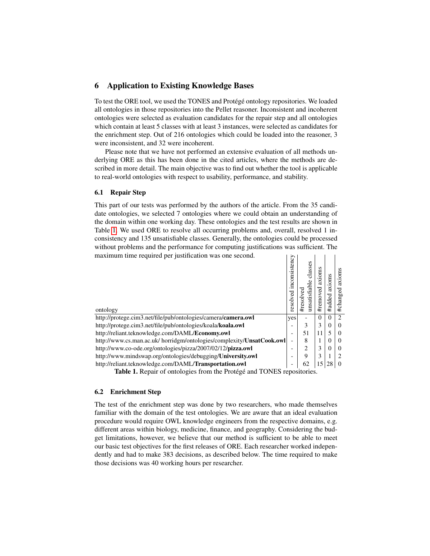# <span id="page-9-0"></span>6 Application to Existing Knowledge Bases

To test the ORE tool, we used the TONES and Protégé ontology repositories. We loaded all ontologies in those repositories into the Pellet reasoner. Inconsistent and incoherent ontologies were selected as evaluation candidates for the repair step and all ontologies which contain at least 5 classes with at least 3 instances, were selected as candidates for the enrichment step. Out of 216 ontologies which could be loaded into the reasoner, 3 were inconsistent, and 32 were incoherent.

Please note that we have not performed an extensive evaluation of all methods underlying ORE as this has been done in the cited articles, where the methods are described in more detail. The main objective was to find out whether the tool is applicable to real-world ontologies with respect to usability, performance, and stability.

### 6.1 Repair Step

This part of our tests was performed by the authors of the article. From the 35 candidate ontologies, we selected 7 ontologies where we could obtain an understanding of the domain within one working day. These ontologies and the test results are shown in Table [1.](#page-9-1) We used ORE to resolve all occurring problems and, overall, resolved 1 inconsistency and 135 unsatisfiable classes. Generally, the ontologies could be processed without problems and the performance for computing justifications was sufficient. The maximum time required per justification was one second.  $\overline{151}$  $\mathbf{I} = \mathbf{I} - \mathbf{I}$ 

| maximum time required per justification was one second.<br>ontology           | stency<br>.<br>Si<br>ەr.<br>E<br>್ದರ<br>resolv | classes<br>unsatisfiable<br>#resolved | axioms<br>#removed | axioms<br>#added | axioms<br>#changed          |
|-------------------------------------------------------------------------------|------------------------------------------------|---------------------------------------|--------------------|------------------|-----------------------------|
| http://protege.cim3.net/file/pub/ontologies/camera/ <b>camera.owl</b>         | yes                                            |                                       | $\Omega$           | 0                | $\mathcal{D}_{\mathcal{L}}$ |
| http://protege.cim3.net/file/pub/ontologies/koala/koala.owl                   |                                                | 3                                     | 3                  | $\theta$         | 0                           |
| http://reliant.teknowledge.com/DAML/ <b>Economy.owl</b>                       |                                                | 51                                    | 11                 | 5                | $\Omega$                    |
| http://www.cs.man.ac.uk/ horridgm/ontologies/complexity/ <b>UnsatCook.owl</b> |                                                | 8                                     |                    | 0                | $\Omega$                    |
| http://www.co-ode.org/ontologies/pizza/2007/02/12/ <b>pizza.owl</b>           |                                                | っ                                     | 3                  | 0                | $\Omega$                    |
| http://www.mindswap.org/ontologies/debugging/University.owl                   |                                                | 9                                     | 3                  |                  | 2                           |
| http://reliant.teknowledge.com/DAML/Transportation.owl                        |                                                | 62                                    | 15                 | 28               | $\Omega$                    |
|                                                                               |                                                |                                       |                    |                  |                             |

<span id="page-9-1"></span>Table 1. Repair of ontologies from the Protégé and TONES repositories.

#### 6.2 Enrichment Step

The test of the enrichment step was done by two researchers, who made themselves familiar with the domain of the test ontologies. We are aware that an ideal evaluation procedure would require OWL knowledge engineers from the respective domains, e.g. different areas within biology, medicine, finance, and geography. Considering the budget limitations, however, we believe that our method is sufficient to be able to meet our basic test objectives for the first releases of ORE. Each researcher worked independently and had to make 383 decisions, as described below. The time required to make those decisions was 40 working hours per researcher.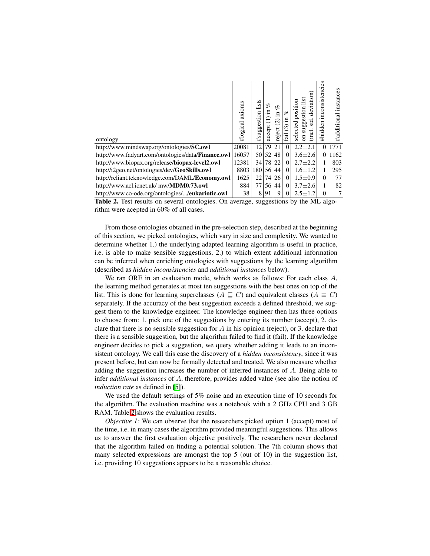| ontology                                                   | axioms<br>#logical | lists<br>#suggestion | B,<br>.≘<br>€<br>accept | oz<br>.⊟<br>$\odot$<br>reject | oz<br>Ξ.<br>$\odot$<br>fail | deviation)<br>on suggestion list<br>position<br>std.<br>selected<br>(incl. | s<br>ق.<br>ن<br>inconsisten<br>#hidden | instances<br>#additional |
|------------------------------------------------------------|--------------------|----------------------|-------------------------|-------------------------------|-----------------------------|----------------------------------------------------------------------------|----------------------------------------|--------------------------|
| http://www.mindswap.org/ontologies/SC.owl                  | 20081              | 12                   | 79                      | 21                            | $\Omega$                    | $2.2 + 2.1$                                                                | $\Omega$                               | 1771                     |
| http://www.fadyart.com/ontologies/data/ <b>Finance.owl</b> | 16057              | 50                   | 52                      | 48                            | $\Omega$                    | $3.6 \pm 2.6$                                                              | 0                                      | 1162                     |
| http://www.biopax.org/release/ <b>biopax-level2.owl</b>    | 12381              | 34                   | 78                      | 22                            | $\Omega$                    | $2.7 + 2.2$                                                                | 1                                      | 803                      |
| http://i2geo.net/ontologies/dev/GeoSkills.owl              | 8803               | 180                  | 56                      | 44                            | $\Omega$                    | $1.6 \pm 1.2$                                                              | 1                                      | 295                      |
| http://reliant.teknowledge.com/DAML/Economy.owl            | 1625               | 22                   | 74                      | 26                            | $\Omega$                    | $1.5 + 0.9$                                                                | 0                                      | 77                       |
| http://www.acl.icnet.uk/ mw/MDM0.73.owl                    | 884                | 77                   | 56                      | 44                            | $\Omega$                    | $3.7 + 2.6$                                                                | 1                                      | 82                       |
| http://www.co-ode.org/ontologies//eukariotic.owl           | 38                 | 8                    | 91                      | 9                             | $\Omega$                    | $2.5 + 1.2$                                                                | 0                                      | 7                        |

<span id="page-10-0"></span>Table 2. Test results on several ontologies. On average, suggestions by the ML algorithm were acepted in 60% of all cases.

From those ontologies obtained in the pre-selection step, described at the beginning of this section, we picked ontologies, which vary in size and complexity. We wanted to determine whether 1.) the underlying adapted learning algorithm is useful in practice, i.e. is able to make sensible suggestions, 2.) to which extent additional information can be inferred when enriching ontologies with suggestions by the learning algorithm (described as *hidden inconsistencies* and *additional instances* below).

We ran ORE in an evaluation mode, which works as follows: For each class A, the learning method generates at most ten suggestions with the best ones on top of the list. This is done for learning superclasses ( $A \subseteq C$ ) and equivalent classes ( $A \equiv C$ ) separately. If the accuracy of the best suggestion exceeds a defined threshold, we suggest them to the knowledge engineer. The knowledge engineer then has three options to choose from: 1. pick one of the suggestions by entering its number (accept), 2. declare that there is no sensible suggestion for  $A$  in his opinion (reject), or 3. declare that there is a sensible suggestion, but the algorithm failed to find it (fail). If the knowledge engineer decides to pick a suggestion, we query whether adding it leads to an inconsistent ontology. We call this case the discovery of a *hidden inconsistency*, since it was present before, but can now be formally detected and treated. We also measure whether adding the suggestion increases the number of inferred instances of A. Being able to infer *additional instances* of A, therefore, provides added value (see also the notion of *induction rate* as defined in [\[5\]](#page-14-4)).

We used the default settings of 5% noise and an execution time of 10 seconds for the algorithm. The evaluation machine was a notebook with a 2 GHz CPU and 3 GB RAM. Table [2](#page-10-0) shows the evaluation results.

*Objective 1:* We can observe that the researchers picked option 1 (accept) most of the time, i.e. in many cases the algorithm provided meaningful suggestions. This allows us to answer the first evaluation objective positively. The researchers never declared that the algorithm failed on finding a potential solution. The 7th column shows that many selected expressions are amongst the top 5 (out of 10) in the suggestion list, i.e. providing 10 suggestions appears to be a reasonable choice.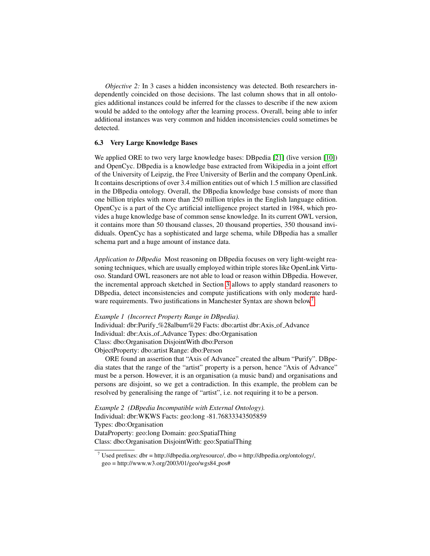*Objective 2:* In 3 cases a hidden inconsistency was detected. Both researchers independently coincided on those decisions. The last column shows that in all ontologies additional instances could be inferred for the classes to describe if the new axiom would be added to the ontology after the learning process. Overall, being able to infer additional instances was very common and hidden inconsistencies could sometimes be detected.

### <span id="page-11-0"></span>6.3 Very Large Knowledge Bases

We applied ORE to two very large knowledge bases: DBpedia [\[21\]](#page-15-7) (live version [\[10\]](#page-14-5)) and OpenCyc. DBpedia is a knowledge base extracted from Wikipedia in a joint effort of the University of Leipzig, the Free University of Berlin and the company OpenLink. It contains descriptions of over 3.4 million entities out of which 1.5 million are classified in the DBpedia ontology. Overall, the DBpedia knowledge base consists of more than one billion triples with more than 250 million triples in the English language edition. OpenCyc is a part of the Cyc artificial intelligence project started in 1984, which provides a huge knowledge base of common sense knowledge. In its current OWL version, it contains more than 50 thousand classes, 20 thousand properties, 350 thousand invididuals. OpenCyc has a sophisticated and large schema, while DBpedia has a smaller schema part and a huge amount of instance data.

*Application to DBpedia* Most reasoning on DBpedia focuses on very light-weight reasoning techniques, which are usually employed within triple stores like OpenLink Virtuoso. Standard OWL reasoners are not able to load or reason within DBpedia. However, the incremental approach sketched in Section [3](#page-4-2) allows to apply standard reasoners to DBpedia, detect inconsistencies and compute justifications with only moderate hard-ware requirements. Two justifications in Manchester Syntax are shown below<sup>[7](#page-11-1)</sup>:

*Example 1 (Incorrect Property Range in DBpedia).* Individual: dbr:Purify\_%28album%29 Facts: dbo:artist dbr:Axis\_of\_Advance Individual: dbr:Axis of Advance Types: dbo:Organisation Class: dbo:Organisation DisjointWith dbo:Person ObjectProperty: dbo:artist Range: dbo:Person

ORE found an assertion that "Axis of Advance" created the album "Purify". DBpedia states that the range of the "artist" property is a person, hence "Axis of Advance" must be a person. However, it is an organisation (a music band) and organisations and persons are disjoint, so we get a contradiction. In this example, the problem can be resolved by generalising the range of "artist", i.e. not requiring it to be a person.

*Example 2 (DBpedia Incompatible with External Ontology).* Individual: dbr:WKWS Facts: geo:long -81.76833343505859 Types: dbo:Organisation DataProperty: geo:long Domain: geo:SpatialThing Class: dbo:Organisation DisjointWith: geo:SpatialThing

<span id="page-11-1"></span><sup>&</sup>lt;sup>7</sup> Used prefixes: dbr = http://dbpedia.org/resource/, dbo = http://dbpedia.org/ontology/,  $geo = http://www.w3.org/2003/01/geo/wgs84_pos#$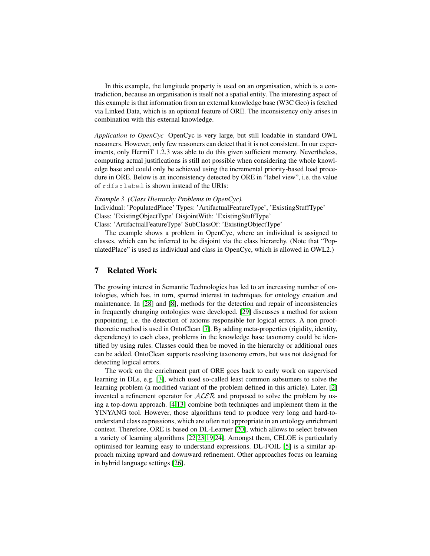In this example, the longitude property is used on an organisation, which is a contradiction, because an organisation is itself not a spatial entity. The interesting aspect of this example is that information from an external knowledge base (W3C Geo) is fetched via Linked Data, which is an optional feature of ORE. The inconsistency only arises in combination with this external knowledge.

*Application to OpenCyc* OpenCyc is very large, but still loadable in standard OWL reasoners. However, only few reasoners can detect that it is not consistent. In our experiments, only HermiT 1.2.3 was able to do this given sufficient memory. Nevertheless, computing actual justifications is still not possible when considering the whole knowledge base and could only be achieved using the incremental priority-based load procedure in ORE. Below is an inconsistency detected by ORE in "label view", i.e. the value of rdfs:label is shown instead of the URIs:

#### *Example 3 (Class Hierarchy Problems in OpenCyc).*

Individual: 'PopulatedPlace' Types: 'ArtifactualFeatureType', 'ExistingStuffType' Class: 'ExistingObjectType' DisjointWith: 'ExistingStuffType'

Class: 'ArtifactualFeatureType' SubClassOf: 'ExistingObjectType'

The example shows a problem in OpenCyc, where an individual is assigned to classes, which can be inferred to be disjoint via the class hierarchy. (Note that "PopulatedPlace" is used as individual and class in OpenCyc, which is allowed in OWL2.)

# <span id="page-12-0"></span>7 Related Work

The growing interest in Semantic Technologies has led to an increasing number of ontologies, which has, in turn, spurred interest in techniques for ontology creation and maintenance. In [\[28\]](#page-15-8) and [\[8\]](#page-14-6), methods for the detection and repair of inconsistencies in frequently changing ontologies were developed. [\[29\]](#page-15-9) discusses a method for axiom pinpointing, i.e. the detection of axioms responsible for logical errors. A non prooftheoretic method is used in OntoClean [\[7\]](#page-14-7). By adding meta-properties (rigidity, identity, dependency) to each class, problems in the knowledge base taxonomy could be identified by using rules. Classes could then be moved in the hierarchy or additional ones can be added. OntoClean supports resolving taxonomy errors, but was not designed for detecting logical errors.

The work on the enrichment part of ORE goes back to early work on supervised learning in DLs, e.g. [\[3\]](#page-14-8), which used so-called least common subsumers to solve the learning problem (a modified variant of the problem defined in this article). Later, [\[2\]](#page-14-9) invented a refinement operator for  $\mathcal{ALER}$  and proposed to solve the problem by using a top-down approach. [\[4,](#page-14-10)[13\]](#page-15-10) combine both techniques and implement them in the YINYANG tool. However, those algorithms tend to produce very long and hard-tounderstand class expressions, which are often not appropriate in an ontology enrichment context. Therefore, ORE is based on DL-Learner [\[20\]](#page-15-11), which allows to select between a variety of learning algorithms [\[22,](#page-15-12)[23,](#page-15-13)[19,](#page-15-14)[24\]](#page-15-6). Amongst them, CELOE is particularly optimised for learning easy to understand expressions. DL-FOIL [\[5\]](#page-14-4) is a similar approach mixing upward and downward refinement. Other approaches focus on learning in hybrid language settings [\[26\]](#page-15-15).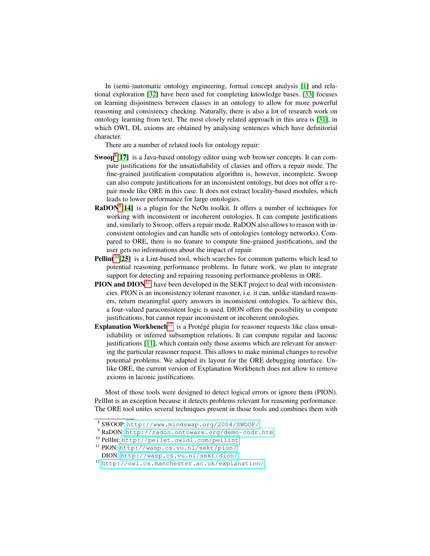In (semi-)automatic ontology engineering, formal concept analysis [\[1\]](#page-14-11) and relational exploration [\[32\]](#page-15-16) have been used for completing knowledge bases. [\[33\]](#page-15-17) focuses on learning disjointness between classes in an ontology to allow for more powerful reasoning and consistency checking. Naturally, there is also a lot of research work on ontology learning from text. The most closely related approach in this area is [\[31\]](#page-15-18), in which OWL DL axioms are obtained by analysing sentences which have definitorial character.

There are a number of related tools for ontology repair:

- Swoop<sup>[8](#page-13-0)</sup>[\[17\]](#page-15-19) is a Java-based ontology editor using web browser concepts. It can compute justifications for the unsatisfiability of classes and offers a repair mode. The fine-grained justification computation algorithm is, however, incomplete. Swoop can also compute justifications for an inconsistent ontology, but does not offer a repair mode like ORE in this case. It does not extract locality-based modules, which leads to lower performance for large ontologies.
- $\text{RaDON}^9[14]$  $\text{RaDON}^9[14]$  $\text{RaDON}^9[14]$  is a plugin for the NeOn toolkit. It offers a number of techniques for working with inconsistent or incoherent ontologies. It can compute justifications and, similarly to Swoop, offers a repair mode. RaDON also allows to reason with inconsistent ontologies and can handle sets of ontologies (ontology networks). Compared to ORE, there is no feature to compute fine-grained justifications, and the user gets no informations about the impact of repair.
- **Pellint**<sup>[10](#page-13-2)</sup>[\[25\]](#page-15-21) is a Lint-based tool, which searches for common patterns which lead to potential reasoning performance problems. In future work, we plan to integrate support for detecting and repairing reasoning performance problems in ORE.
- **PION and DION**<sup>[11](#page-13-3)</sup> have been developed in the SEKT project to deal with inconsistencies. PION is an inconsistency tolerant reasoner, i.e. it can, unlike standard reasoners, return meaningful query answers in inconsistent ontologies. To achieve this, a four-valued paraconsistent logic is used. DION offers the possibility to compute justifications, but cannot repair inconsistent or incoherent ontologies.
- Explanation Workbench<sup>[12](#page-13-4)</sup> is a Protégé plugin for reasoner requests like class unsatisfiability or inferred subsumption relations. It can compute regular and laconic justifications [\[11\]](#page-14-1), which contain only those axioms which are relevant for answering the particular reasoner request. This allows to make minimal changes to resolve potential problems. We adapted its layout for the ORE debugging interface. Unlike ORE, the current version of Explanation Workbench does not allow to remove axioms in laconic justifications.

Most of those tools were designed to detect logical errors or ignore them (PION). PellInt is an exception because it detects problems relevant for reasoning performance. The ORE tool unites several techniques present in those tools and combines them with

<span id="page-13-0"></span><sup>8</sup> SWOOP: <http://www.mindswap.org/2004/SWOOP/>

<span id="page-13-1"></span><sup>9</sup> RaDON: <http://radon.ontoware.org/demo-codr.htm>

<span id="page-13-2"></span><sup>10</sup> PellInt: <http://pellet.owldl.com/pellint>

<span id="page-13-3"></span><sup>11</sup> PION: <http://wasp.cs.vu.nl/sekt/pion/>

DION: <http://wasp.cs.vu.nl/sekt/dion/>

<span id="page-13-4"></span><sup>12</sup> <http://owl.cs.manchester.ac.uk/explanation/>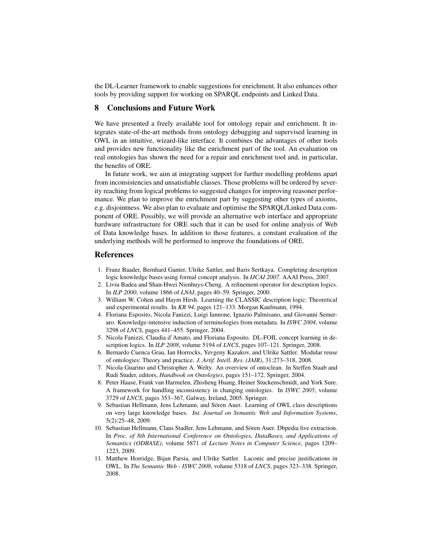the DL-Learner framework to enable suggestions for enrichment. It also enhances other tools by providing support for working on SPARQL endpoints and Linked Data.

# <span id="page-14-0"></span>8 Conclusions and Future Work

We have presented a freely available tool for ontology repair and enrichment. It integrates state-of-the-art methods from ontology debugging and supervised learning in OWL in an intuitive, wizard-like interface. It combines the advantages of other tools and provides new functionality like the enrichment part of the tool. An evaluation on real ontologies has shown the need for a repair and enrichment tool and, in particular, the benefits of ORE.

In future work, we aim at integrating support for further modelling problems apart from inconsistencies and unsatisfiable classes. Those problems will be ordered by severity reaching from logical problems to suggested changes for improving reasoner performance. We plan to improve the enrichment part by suggesting other types of axioms, e.g. disjointness. We also plan to evaluate and optimise the SPARQL/Linked Data component of ORE. Possibly, we will provide an alternative web interface and appropriate hardware infrastructure for ORE such that it can be used for online analysis of Web of Data knowledge bases. In addition to those features, a constant evaluation of the underlying methods will be performed to improve the foundations of ORE.

#### References

- <span id="page-14-11"></span>1. Franz Baader, Bernhard Ganter, Ulrike Sattler, and Baris Sertkaya. Completing description logic knowledge bases using formal concept analysis. In *IJCAI 2007*. AAAI Press, 2007.
- <span id="page-14-9"></span>2. Liviu Badea and Shan-Hwei Nienhuys-Cheng. A refinement operator for description logics. In *ILP 2000*, volume 1866 of *LNAI*, pages 40–59. Springer, 2000.
- <span id="page-14-8"></span>3. William W. Cohen and Haym Hirsh. Learning the CLASSIC description logic: Theoretical and experimental results. In *KR 94*, pages 121–133. Morgan Kaufmann, 1994.
- <span id="page-14-10"></span>4. Floriana Esposito, Nicola Fanizzi, Luigi Iannone, Ignazio Palmisano, and Giovanni Semeraro. Knowledge-intensive induction of terminologies from metadata. In *ISWC 2004*, volume 3298 of *LNCS*, pages 441–455. Springer, 2004.
- <span id="page-14-4"></span>5. Nicola Fanizzi, Claudia d'Amato, and Floriana Esposito. DL-FOIL concept learning in description logics. In *ILP 2008*, volume 5194 of *LNCS*, pages 107–121. Springer, 2008.
- <span id="page-14-2"></span>6. Bernardo Cuenca Grau, Ian Horrocks, Yevgeny Kazakov, and Ulrike Sattler. Modular reuse of ontologies: Theory and practice. *J. Artif. Intell. Res. (JAIR)*, 31:273–318, 2008.
- <span id="page-14-7"></span>7. Nicola Guarino and Christopher A. Welty. An overview of ontoclean. In Steffen Staab and Rudi Studer, editors, *Handbook on Ontologies*, pages 151–172. Springer, 2004.
- <span id="page-14-6"></span>8. Peter Haase, Frank van Harmelen, Zhisheng Huang, Heiner Stuckenschmidt, and York Sure. A framework for handling inconsistency in changing ontologies. In *ISWC 2005*, volume 3729 of *LNCS*, pages 353–367, Galway, Ireland, 2005. Springer.
- <span id="page-14-3"></span>9. Sebastian Hellmann, Jens Lehmann, and Sören Auer. Learning of OWL class descriptions on very large knowledge bases. *Int. Journal on Semantic Web and Information Systems*, 5(2):25–48, 2009.
- <span id="page-14-5"></span>10. Sebastian Hellmann, Claus Stadler, Jens Lehmann, and Sören Auer. Dbpedia live extraction. In *Proc. of 8th International Conference on Ontologies, DataBases, and Applications of Semantics (ODBASE)*, volume 5871 of *Lecture Notes in Computer Science*, pages 1209– 1223, 2009.
- <span id="page-14-1"></span>11. Matthew Horridge, Bijan Parsia, and Ulrike Sattler. Laconic and precise justifications in OWL. In *The Semantic Web - ISWC 2008*, volume 5318 of *LNCS*, pages 323–338. Springer, 2008.